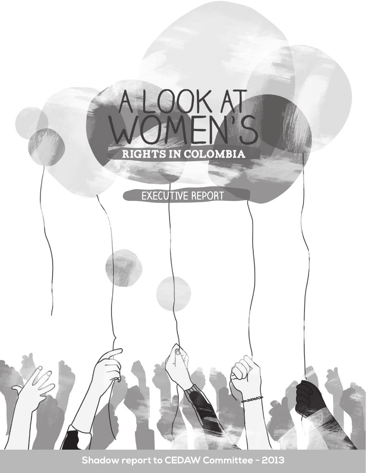

Shadow report to CEDAW Committee - 2013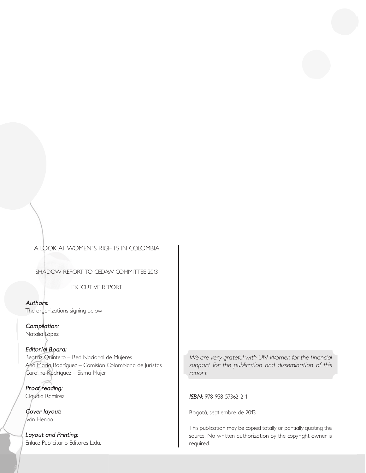### *A LOOK AT WOMEN´S RIGHTS IN COLOMBIA*

*SHADOW REPORT TO CEDAW COMMITTEE 2013*

*EXECUTIVE REPORT*

**Authors:** *The organizations signing below*

**Compilation:** *Natalia López*

**Editorial Board:** *Beatriz Quintero – Red Nacional de Mujeres Ana María Rodríguez – Comisión Colombiana de Juristas Carolina Rodríguez – Sisma Mujer*

**Proof reading:** *Claudia Ramírez* 

**Cover layout:** *Iván Henao* 

**Layout and Printing:** *Enlace Publicitario Editores Ltda.* *We are very grateful with UN Women for the financial support for the publication and dissemination of this report.* 

**ISBN:** *978-958-57362-2-1*

*Bogotá, septiembre de 2013*

*This publication may be copied totally or partially quoting the source. No written authorization by the copyright owner is required.*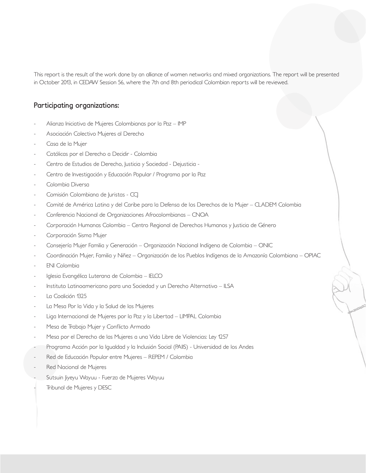This report is the result of the work done by an alliance of women networks and mixed organizations. The report will be presented *in October 2013, in CEDAW Session 56, where the 7th and 8th periodical Colombian reports will be reviewed.* 

### **Participating organizations:**

- *- Alianza Iniciativa de Mujeres Colombianas por la Paz IMP*
- *- Asociación Colectivo Mujeres al Derecho*
- *- Casa de la Mujer*
- *- Católicas por el Derecho a Decidir Colombia*
- *- Centro de Estudios de Derecho, Justicia y Sociedad Dejusticia -*
- *- Centro de Investigación y Educación Popular / Programa por la Paz*
- *- Colombia Diversa*
- *- Comisión Colombiana de Juristas CCJ*
- *- Comité de América Latina y del Caribe para la Defensa de los Derechos de la Mujer CLADEM Colombia*
- *- Conferencia Nacional de Organizaciones Afrocolombianas CNOA*
- *- Corporación Humanas Colombia Centro Regional de Derechos Humanos y Justicia de Género*
- *- Corporación Sisma Mujer*
- *- Consejería Mujer Familia y Generación Organización Nacional Indígena de Colombia ONIC*
- *- Coordinación Mujer, Familia y Niñez Organización de los Pueblos Indígenas de la Amazonía Colombiana OPIAC*
- *- ENI Colombia*
- *- Iglesia Evangélica Luterana de Colombia IELCO*
- *- Instituto Latinoamericano para una Sociedad y un Derecho Alternativo ILSA*
- *- La Coalición 1325*
- *- La Mesa Por la Vida y la Salud de las Mujeres*
- *- Liga Internacional de Mujeres por la Paz y la Libertad LIMPAL Colombia*
- *- Mesa de Trabajo Mujer y Conflicto Armado*
- *- Mesa por el Derecho de las Mujeres a una Vida Libre de Violencias: Ley 1257*
- *- Programa Acción por la Igualdad y la Inclusión Social (PAIIS) Universidad de los Andes*
- *- Red de Educación Popular entre Mujeres REPEM / Colombia*
- *- Red Nacional de Mujeres*
- *- Sutsuin Jiyeyu Wayuu Fuerza de Mujeres Wayuu*
- *- Tribunal de Mujeres y DESC*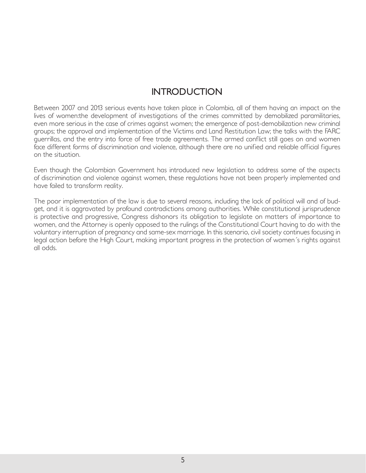# **INTRODUCTION**

*Between 2007 and 2013 serious events have taken place in Colombia, all of them having an impact on the lives of women:the development of investigations of the crimes committed by demobilized paramilitaries,*  even more serious in the case of crimes against women; the emergence of post-demobilization new criminal *groups; the approval and implementation of the Victims and Land Restitution Law; the talks with the FARC guerrillas, and the entry into force of free trade agreements. The armed conflict still goes on and women*  face different forms of discrimination and violence, although there are no unified and reliable official figures *on the situation.*

*Even though the Colombian Government has introduced new legislation to address some of the aspects of discrimination and violence against women, these regulations have not been properly implemented and have failed to transform reality.* 

*The poor implementation of the law is due to several reasons, including the lack of political will and of budget, and it is aggravated by profound contradictions among authorities. While constitutional jurisprudence is protective and progressive, Congress dishonors its obligation to legislate on matters of importance to women, and the Attorney is openly opposed to the rulings of the Constitutional Court having to do with the*  voluntary interruption of pregnancy and same-sex marriage. In this scenario, civil society continues focusing in legal action before the High Court, making important progress in the protection of women's rights against *all odds.*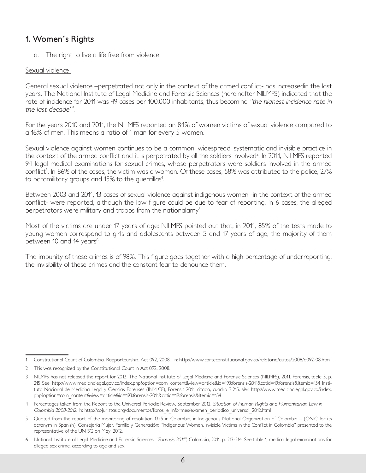# **1. Women´s Rights**

*a. The right to live a life free from violence* 

### *Sexual violence*

*General sexual violence –perpetrated not only in the context of the armed conflict- has increasedin the last years. The National Institute of Legal Medicine and Forensic Sciences (hereinafter NILMFS) indicated that the*  rate of incidence for 2011 was 49 cases per 100,000 inhabitants, thus becoming "the highest incidence rate in *the last decade"<sup>1</sup> .*

*For the years 2010 and 2011, the NILMFS reported an 84% of women victims of sexual violence compared to a 16% of men. This means a ratio of 1 man for every 5 women.*

*Sexual violence against women continues to be a common, widespread, systematic and invisible practice in the context of the armed conflict and it is perpetrated by all the soldiers involved2 . In 2011, NILMFS reported*  94 legal medical examinations for sexual crimes, whose perpetrators were soldiers involved in the armed *conflict3 . In 86% of the cases, the victim was a woman. Of these cases, 58% was attributed to the police, 27% to paramilitary groups and 15% to the guerrillas4 .* 

*Between 2003 and 2011, 13 cases of sexual violence against indigenous women -in the context of the armed conflict- were reported, although the low figure could be due to fear of reporting. In 6 cases, the alleged perpetrators were military and troops from the nationalamy5 .* 

*Most of the victims are under 17 years of age: NILMFS pointed out that, in 2011, 85% of the tests made to young women correspond to girls and adolescents between 5 and 17 years of age, the majority of them between 10 and 14 years6 .* 

*The impunity of these crimes is of 98%. This figure goes together with a high percentage of underreporting, the invisibility of these crimes and the constant fear to denounce them.*

*<sup>1</sup> Constitutional Court of Colombia. Rapporteurship. Act 092, 2008. In: http://www.corteconstitucional.gov.co/relatoria/autos/2008/a092-08.htm*

*<sup>2</sup> This was recognized by the Constitutional Court in Act 092, 2008.*

*<sup>3</sup> NILMFS has not released the report for 2012. The National Institute of Legal Medicine and Forensic Sciences (NILMFS), 2011. Forensis, table 3, p. 215 See: http://www.medicinalegal.gov.co/index.php?option=com\_content&view=article&id=193:forensis-2011&catid=19:forensis&Itemid=154 Instituto Nacional de Medicina Legal y Ciencias Forenses (INMLCF), Forensis 2011, citado, cuadro 3.215. Ver: http://www.medicinalegal.gov.co/index. php?option=com\_content&view=article&id=193:forensis-2011&catid=19:forensis&Itemid=154*

<sup>4</sup> Percentages taken from the Report to the Universal Periodic Review, September 2012. *Situation of Human Rights and Humanitarian Law in Colombia 2008-2012. In: http://coljuristas.org/documentos/libros\_e\_informes/examen\_periodico\_universal\_2012.html*

*<sup>5</sup> Quoted from the report of the monitoring of resolution 1325 in Colombia, in Indigenous National Organization of Colombia – (ONIC for its acronym in Spanish), Consejería Mujer, Familia y Generación: "Indigenous Women, Invisible Victims in the Conflict in Colombia" presented to the representative of the UN SG on May, 2012.*

*<sup>6</sup> National Institute of Legal Medicine and Forensic Sciences, "Forensis 2011", Colombia, 2011, p. 213-214. See table 1, medical legal examinations for alleged sex crime, according to age and sex.*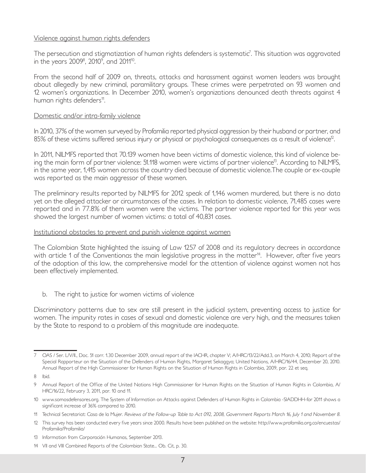### *Violence against human rights defenders*

*The persecution and stigmatization of human rights defenders is systematic7 . This situation was aggravated in the years 20098 , 20109 , and 201110.* 

From the second half of 2009 on, threats, attacks and harassment against women leaders was brought *about allegedly by new criminal, paramilitary groups. These crimes were perpetrated on 93 women and 12 women's organizations. In December 2010, women's organizations denounced death threats against 4 human rights defenders11.* 

### *Domestic and/or intra-family violence*

In 2010, 37% of the women surveyed by Profamilia reported physical aggression by their husband or partner, and *85% of these victims suffered serious injury or physical or psychological consequences as a result of violence12.* 

*In 2011, NILMFS reported that 70.139 women have been victims of domestic violence, this kind of violence being the main form of partner violence: 51.118 women were victims of partner violence13. According to NILMFS,*  in the same year, 1,415 women across the country died because of domestic violence. The couple or ex-couple *was reported as the main aggressor of these women.*

*The preliminary results reported by NILMFS for 2012 speak of 1,146 women murdered, but there is no data yet on the alleged attacker or circumstances of the cases. In relation to domestic violence, 71,485 cases were reported and in 77.8% of them women were the victims. The partner violence reported for this year was showed the largest number of women victims: a total of 40,831 cases.*

### *Institutional obstacles to prevent and punish violence against women*

*The Colombian State highlighted the issuing of Law 1257 of 2008 and its regulatory decrees in accordance*  with article 1 of the Conventionas the main legislative progress in the matter<sup>14</sup>. However, after five years *of the adoption of this law, the comprehensive model for the attention of violence against women not has been effectively implemented.*

*b. The right to justice for women victims of violence*

*Discriminatory patterns due to sex are still present in the judicial system, preventing access to justice for women. The impunity rates in cases of sexual and domestic violence are very high, and the measures taken by the State to respond to a problem of this magnitude are inadequate.* 

*<sup>7</sup> OAS / Ser. L/V/II., Doc. 51 corr. 1.30 December 2009, annual report of the IACHR, chapter V; A/HRC/13/22/Add.3, on March 4, 2010; Report of the Special Rapporteur on the Situation of the Defenders of Human Rights, Margaret Sekaggya; United Nations, A/HRC/16/44, December 20, 2010. Annual Report of the High Commissioner for Human Rights on the Situation of Human Rights in Colombia, 2009, par. 22 et seq.*

*<sup>8</sup> Ibid.*

*<sup>9</sup> Annual Report of the Office of the United Nations High Commissioner for Human Rights on the Situation of Human Rights in Colombia, A/ HRC/16/22, February 3, 2011, par. 10 and 11.*

*<sup>10</sup> www.somosdefensores.org. The System of Information on Attacks against Defenders of Human Rights in Colombia -SIADDHH-for 2011 shows a significant increase of 36% compared to 2010.*

*<sup>11</sup> Technical Secretariat: Casa de la Mujer. Reviews of the Follow-up Table to Act 092, 2008, Government Reports March 16, July 1 and November 8.*

*<sup>12</sup> This survey has been conducted every five years since 2000. Results have been published on the website: http://www.profamilia.org.co/encuestas/ Profamilia/Profamilia/*

*<sup>13</sup> Information from Corporación Humanas, September 2013.*

*<sup>14</sup> VII and VIII Combined Reports of the Colombian State... Ob. Cit, p. 30.*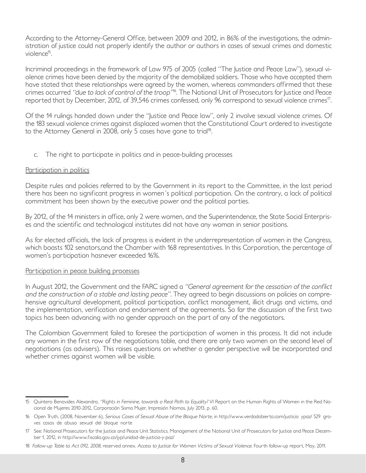*According to the Attorney-General Office, between 2009 and 2012, in 86% of the investigations, the administration of justice could not properly identify the author or authors in cases of sexual crimes and domestic violence15.* 

*Incriminal proceedings in the framework of Law 975 of 2005 (called "The Justice and Peace Law"), sexual violence crimes have been denied by the majority of the demobilized soldiers. Those who have accepted them*  have stated that these relationships were agreed by the women, whereas commanders affirmed that these *crimes occurred "due to lack of control of the troop"<sup>16</sup>. The National Unit of Prosecutors for Justice and Peace reported that by December, 2012, of 39,546 crimes confessed, only 96 correspond to sexual violence crimes17.* 

*Of the 14 rulings handed down under the "Justice and Peace law", only 2 involve sexual violence crimes. Of the 183 sexual violence crimes against displaced women that the Constitutional Court ordered to investigate to the Attorney General in 2008, only 5 cases have gone to trial18.* 

*c. The right to participate in politics and in peace-building processes* 

### *Participation in politics*

*Despite rules and policies referred to by the Government in its report to the Committee, in the last period*  there has been no significant progress in women's political participation. On the contrary, a lack of political *commitment has been shown by the executive power and the political parties.*

*By 2012, of the 14 ministers in office, only 2 were women, and the Superintendence, the State Social Enterprises and the scientific and technological institutes did not have any woman in senior positions.* 

*As for elected officials, the lack of progress is evident in the underrepresentation of women in the Congress, which boasts 102 senators,and the Chamber with 168 representatives. In this Corporation, the percentage of women's participation hasnever exceeded 16%.*

#### *Participation in peace building processes*

*In August 2012, the Government and the FARC signed a "General agreement for the cessation of the conflict and the construction of a stable and lasting peace". They agreed to begin discussions on policies on compre*hensive agricultural development, political participation, conflict management, illicit drugs and victims, and *the implementation, verification and endorsement of the agreements. So far the discussion of the first two topics has been advancing with no gender approach on the part of any of the negotiators.*

*The Colombian Government failed to foresee the participation of women in this process. It did not include any women in the first row of the negotiations table, and there are only two women on the second level of negotiations (as advisers). This raises questions on whether a gender perspective will be incorporated and whether crimes against women will be visible.* 

*<sup>15</sup> Quintero Benavides Alexandra, "Rights in Feminine, towards a Real Path to Equality? VI Report on the Human Rights of Women in the Red Nacional de Mujeres 2010-2012, Corporación Sisma Mujer, Impresión Nomos, July 2013, p. 60.*

*<sup>16</sup> Open Truth, (2008, November 6), Serious Cases of Sexual Abuse of the Bloque Norte, in http://www.verdadabierta.com/justicia‐ypaz/ 529‐graves‐casos‐de‐abuso‐sexual‐del‐bloque‐norte*

*<sup>17</sup> See: National Prosecutors for the Justice and Peace Unit Statistics. Management of the National Unit of Prosecutors for Justice and Peace December 1, 2012, in http://www.fiscalia.gov.co/jyp/unidad-de-justicia-y-paz/*

*<sup>18</sup> Follow-up Table to Act 092, 2008, reserved annex. Access to Justice for Women Victims of Sexual Violence. Fourth follow-up report, May, 2011.*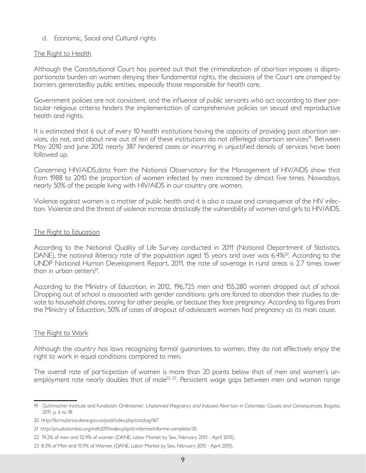### *d. Economic, Social and Cultural rights*

### *The Right to Health*

*Although the Constitutional Court has pointed out that the criminalization of abortion imposes a disproportionate burden on women denying their fundamental rights, the decisions of the Court are cramped by barriers generatedby public entities, especially those responsible for health care.*

*Government policies are not consistent, and the influence of public servants who act according to their particular religious criteria hinders the implementation of comprehensive policies on sexual and reproductive health and rights.*

*It is estimated that 6 out of every 10 health institutions having the capacity of providing post abortion ser*vices, do not, and about nine out of ten of these institutions do not offerlegal abortion services<sup>19</sup>. Between *May 2010 and June 2012 nearly 387 hindered cases or incurring in unjustified denials of services have been followed up.*

*Concerning HIV/AIDS,data from the National Observatory for the Management of HIV/AIDS show that from 1988 to 2010 the proportion of women infected by men increased by almost five times. Nowadays, nearly 50% of the people living with HIV/AIDS in our country are women.*

*Violence against women is a matter of public health and it is also a cause and consequence of the HIV infection. Violence and the threat of violence increase drastically the vulnerability of women and girls to HIV/AIDS.*

#### *The Right to Education*

*According to the National Quality of Life Survey conducted in 2011 (National Department of Statistics, DANE*), the national illiteracy rate of the population aged 15 years and over was 6.4%<sup>20</sup>. According to the *UNDP National Human Development Report, 2011, the rate of coverage in rural areas is 2.7 times lower than in urban centers21.* 

*According to the Ministry of Education, in 2012, 196,725 men and 155,280 women dropped out of school. Dropping out of school is associated with gender conditions: girls are forced to abandon their studies to devote to household chores, caring for other people, or because they face pregnancy. According to figures from the Ministry of Education, 50% of cases of dropout of adolescent women had pregnancy as its main cause.*

#### *The Right to Work*

*Although the country has laws recognizing formal guarantees to women, they do not effectively enjoy the right to work in equal conditions compared to men.*

*The overall rate of participation of women is more than 20 points below that of men and women's un*employment rate nearly doubles that of male<sup>22, 23</sup>. Persistent wage gaps between men and women range

<sup>19</sup> Guttmacher Institute and Fundación Oriéntame/. Unplanned Pregnancy and Induced Abortion in Colombia: Causes and Consequences, Bogota, *2011, p. 6 to 18.*

*<sup>20</sup> http://formularios.dane.gov.co/pad/index.php/catalog/167*

*<sup>21</sup> http://pnudcolombia.org/indh2011/index.php/el-informe/informe-completo/30*

*<sup>22</sup> 74.2% of men and 52.9% of women (DANE, Labor Market by Sex, February 2013 - April 2013).*

*<sup>23</sup> 8.3% of Men and 13.9% of Women (DANE, Labor Market by Sex, February 2013 - April 2013).*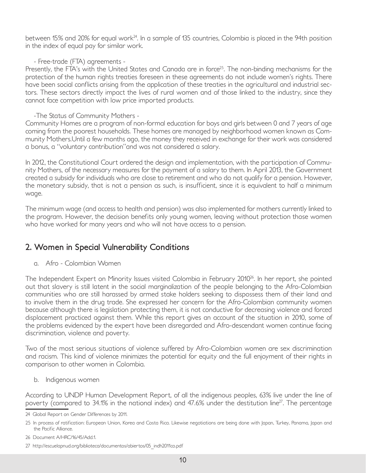between 15% and 20% for equal work<sup>24</sup>. In a sample of 135 countries, Colombia is placed in the 94th position *in the index of equal pay for similar work.*

*- Free-trade (FTA) agreements -*

Presently, the FTA's with the United States and Canada are in force<sup>25</sup>. The non-binding mechanisms for the *protection of the human rights treaties foreseen in these agreements do not include women's rights. There have been social conflicts arising from the application of these treaties in the agricultural and industrial sec*tors. These sectors directly impact the lives of rural women and of those linked to the industry, since they *cannot face competition with low price imported products.*

*-The Status of Community Mothers -*

*Community Homes are a program of non-formal education for boys and girls between 0 and 7 years of age coming from the poorest households. These homes are managed by neighborhood women known as Community Mothers.Until a few months ago, the money they received in exchange for their work was considered a bonus, a "voluntary contribution"and was not considered a salary.*

*In 2012, the Constitutional Court ordered the design and implementation, with the participation of Community Mothers, of the necessary measures for the payment of a salary to them. In April 2013, the Government created a subsidy for individuals who are close to retirement and who do not qualify for a pension. However, the monetary subsidy, that is not a pension as such, is insufficient, since it is equivalent to half a minimum wage.*

*The minimum wage (and access to health and pension) was also implemented for mothers currently linked to the program. However, the decision benefits only young women, leaving without protection those women who have worked for many years and who will not have access to a pension.*

# **2. Women in Special Vulnerability Conditions**

*a. Afro - Colombian Women*

*The Independent Expert on Minority Issues visited Colombia in February 201026. In her report, she pointed out that slavery is still latent in the social marginalization of the people belonging to the Afro-Colombian communities who are still harassed by armed stake holders seeking to dispossess them of their land and*  to involve them in the drug trade. She expressed her concern for the Afro-Colombian community women because although there is legislation protecting them, it is not conductive for decreasing violence and forced displacement practiced against them. While this report gives an account of the situation in 2010, some of *the problems evidenced by the expert have been disregarded and Afro-descendant women continue facing discrimination, violence and poverty.*

*Two of the most serious situations of violence suffered by Afro-Colombian women are sex discrimination and racism. This kind of violence minimizes the potential for equity and the full enjoyment of their rights in comparison to other women in Colombia.* 

*b. Indigenous women* 

*According to UNDP Human Development Report, of all the indigenous peoples, 63% live under the line of poverty (compared to 34.1% in the national index) and 47.6% under the destitution line*<sup>27</sup>. The percentage

*<sup>24</sup> Global Report on Gender Differences by 2011.*

*<sup>25</sup> In process of ratification: European Union, Korea and Costa Rica. Likewise negotiations are being done with Japan, Turkey, Panama, Japan and the Pacific Alliance.*

*<sup>26</sup> Document A/HRC/16/45/Add.1.*

*<sup>27</sup> http://escuelapnud.org/biblioteca/documentos/abiertos/05\_indh2011co.pdf*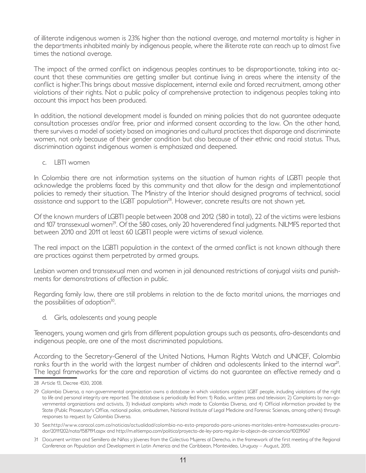*of illiterate indigenous women is 23% higher than the national average, and maternal mortality is higher in the departments inhabited mainly by indigenous people, where the illiterate rate can reach up to almost five times the national average.* 

*The impact of the armed conflict on indigenous peoples continues to be disproportionate, taking into account that these communities are getting smaller but continue living in areas where the intensity of the conflict is higher.This brings about massive displacement, internal exile and forced recruitment, among other violations of their rights. Not a public policy of comprehensive protection to indigenous peoples taking into account this impact has been produced.* 

In addition, the national development model is founded on mining policies that do not quarantee adequate *consultation processes and/or free, prior and informed consent according to the law. On the other hand, there survives a model of society based on imaginaries and cultural practices that disparage and discriminate*  women, not only because of their gender condition but also because of their ethnic and racial status. Thus, *discrimination against indigenous women is emphasized and deepened.*

*c. LBTI women* 

In Colombia there are not information systems on the situation of human rights of LGBTI people that acknowledge the problems faced by this community and that allow for the design and implementationof policies to remedy their situation. The Ministry of the Interior should designed programs of technical, social *assistance and support to the LGBT population28. However, concrete results are not shown yet.* 

*Of the known murders of LGBTI people between 2008 and 2012 (580 in total), 22 of the victims were lesbians*  and 107 transsexual women<sup>29</sup>. Of the 580 cases, only 20 haverendered final judgments. NILMFS reported that *between 2010 and 2011 at least 60 LGBTI people were victims of sexual violence.*

The real impact on the LGBTI population in the context of the armed conflict is not known although there *are practices against them perpetrated by armed groups.* 

*Lesbian women and transsexual men and women in jail denounced restrictions of conjugal visits and punishments for demonstrations of affection in public.* 

*Regarding family law, there are still problems in relation to the de facto marital unions, the marriages and the possibilities of adoption30.* 

*d. Girls, adolescents and young people* 

*Teenagers, young women and girls from different population groups such as peasants, afro-descendants and indigenous people, are one of the most discriminated populations.* 

*According to the Secretary-General of the United Nations, Human Rights Watch and UNICEF, Colombia*  ranks fourth in the world with the largest number of children and adolescents linked to the internal war<sup>31</sup>. The legal frameworks for the care and reparation of victims do not guarantee an effective remedy and a

*<sup>28</sup> Article 13, Decree 4530, 2008.*

*<sup>29</sup> Colombia Diversa, a non-governmental organization owns a database in which violations against LGBT people, including violations of the right to life and personal integrity are reported. The database is periodically fed from: 1) Radio, written press and television; 2) Complaints by non-governmental organizations and activists, 3) Individual complaints which made to Colombia Diversa, and 4) Official information provided by the State (Public Prosecutor's Office, national police, ombudsmen, National Institute of Legal Medicine and Forensic Sciences, among others) through responses to request by Colombia Diversa.*

*<sup>30</sup> See:http://www.caracol.com.co/noticias/actualidad/colombia-no-esta-preparada-para-uniones-maritales-entre-homosexuales-procurador/20111202/nota/1587191.aspx and http://m.eltiempo.com/politica/proyecto-de-ley-para-regular-la-objecin-de-conciencia/10039067* 

*<sup>31</sup> Document written and Semillero de Niñas y Jóvenes from the Colectivo Mujeres al Derecho, in the framework of the first meeting of the Regional Conference on Population and Development in Latin America and the Caribbean, Montevideo, Uruguay – August, 2013.*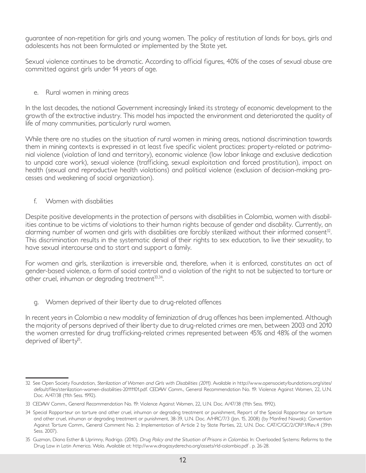*guarantee of non-repetition for girls and young women. The policy of restitution of lands for boys, girls and adolescents has not been formulated or implemented by the State yet.* 

*Sexual violence continues to be dramatic. According to official figures, 40% of the cases of sexual abuse are committed against girls under 14 years of age.*

*e. Rural women in mining areas* 

In the last decades, the national Government increasingly linked its strategy of economic development to the *growth of the extractive industry. This model has impacted the environment and deteriorated the quality of life of many communities, particularly rural women.*

*While there are no studies on the situation of rural women in mining areas, national discrimination towards them in mining contexts is expressed in at least five specific violent practices: property-related or patrimonial violence (violation of land and territory), economic violence (low labor linkage and exclusive dedication*  to unpaid care work), sexual violence (trafficking, sexual exploitation and forced prostitution), impact on *health (sexual and reproductive health violations) and political violence (exclusion of decision-making processes and weakening of social organization).*

*f. Women with disabilities*

*Despite positive developments in the protection of persons with disabilities in Colombia, women with disabil*ities continue to be victims of violations to their human rights because of gender and disability. Currently, an *alarming number of women and girls with disabilities are forcibly sterilized without their informed consent32.*  This discrimination results in the systematic denial of their rights to sex education, to live their sexuality, to *have sexual intercourse and to start and support a family.* 

For women and girls, sterilization is irreversible and, therefore, when it is enforced, constitutes an act of *gender-based violence, a form of social control and a violation of the right to not be subjected to torture or other cruel, inhuman or degrading treatment33,34.* 

*g. Women deprived of their liberty due to drug-related offences* 

*In recent years in Colombia a new modality of feminization of drug offences has been implemented. Although the majority of persons deprived of their liberty due to drug-related crimes are men, between 2003 and 2010 the women arrested for drug trafficking-related crimes represented between 45% and 48% of the women deprived of liberty35.* 

*<sup>32</sup> See Open Society Foundation, Sterilization of Women and Girls with Disabilities (2011). Available in http://www.opensocietyfoundations.org/sites/ default/files/sterilization-women-disabilities-20111101.pdf. CEDAW Comm., General Recommendation No. 19: Violence Against Women, 22, U.N. Doc. A/47/38 (11th Sess. 1992).*

*<sup>33</sup> CEDAW Comm., General Recommendation No. 19: Violence Against Women, 22, U.N. Doc. A/47/38 (11th Sess. 1992).*

*<sup>34</sup> Special Rapporteur on torture and other cruel, inhuman or degrading treatment or punishment, Report of the Special Rapporteur on torture and other cruel, inhuman or degrading treatment or punishment, 38-39, U.N. Doc. A/HRC/7/3 (Jan. 15, 2008) (by Manfred Nowak); Convention Against Torture Comm., General Comment No. 2: Implementation of Article 2 by State Parties, 22, U.N. Doc. CAT/C/GC/2/CRP.1/Rev.4 (39th Sess. 2007).*

*<sup>35</sup> Guzman, Diana Esther & Uprimny, Rodrigo. (2010). Drug Policy and the Situation of Prisons in Colombia. In: Overloaded Systems: Reforms to the Drug Law in Latin America. Wola. Available at: http://www.drogasyderecho.org/assets/rld-colombia.pdf . p. 26-28.*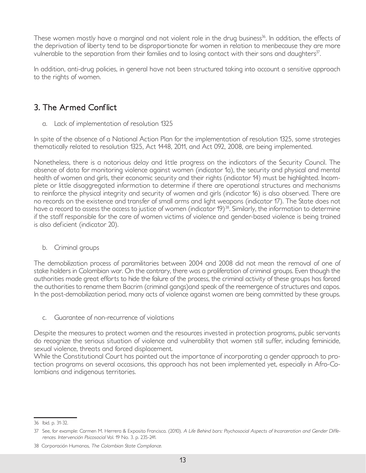*These women mostly have a marginal and not violent role in the drug business<sup>36</sup>. In addition, the effects of the deprivation of liberty tend to be disproportionate for women in relation to menbecause they are more vulnerable to the separation from their families and to losing contact with their sons and daughters37.* 

*In addition, anti-drug policies, in general have not been structured taking into account a sensitive approach to the rights of women.* 

# **3. The Armed Conflict**

*a. Lack of implementation of resolution 1325*

*In spite of the absence of a National Action Plan for the implementation of resolution 1325, some strategies thematically related to resolution 1325, Act 1448, 2011, and Act 092, 2008, are being implemented.* 

*Nonetheless, there is a notorious delay and little progress on the indicators of the Security Council. The absence of data for monitoring violence against women (indicator 1a), the security and physical and mental health of women and girls, their economic security and their rights (indicator 14) must be highlighted. Incomplete or little disaggregated information to determine if there are operational structures and mechanisms*  to reinforce the physical integrity and security of women and girls (indicator 16) is also observed. There are no records on the existence and transfer of small arms and light weapons (indicator 17). The State does not have a record to assess the access to justice of women (indicator 19)<sup>38</sup>. Similarly, the information to determine *if the staff responsible for the care of women victims of violence and gender-based violence is being trained is also deficient (indicator 20).* 

*b. Criminal groups* 

The demobilization process of paramilitaries between 2004 and 2008 did not mean the removal of one of stake holders in Colombian war. On the contrary, there was a proliferation of criminal groups. Even though the *authorities made great efforts to hide the failure of the process, the criminal activity of these groups has forced the authorities to rename them Bacrim (criminal gangs)and speak of the reemergence of structures and capos. In the post-demobilization period, many acts of violence against women are being committed by these groups.*

*c. Guarantee of non-recurrence of violations*

*Despite the measures to protect women and the resources invested in protection programs, public servants*  do recognize the serious situation of violence and vulnerability that women still suffer, including feminicide, *sexual violence, threats and forced displacement.*

*While the Constitutional Court has pointed out the importance of incorporating a gender approach to protection programs on several occasions, this approach has not been implemented yet, especially in Afro-Colombians and indigenous territories.*

*<sup>36</sup> Ibid. p. 31-32.*

<sup>37</sup> See, for example: Carmen M. Herrera & Exposito Francisca. (2010). A Life Behind bars: Psychosocial Aspects of Incarceration and Gender Diffe*rences. Intervención Psicosocial Vol. 19 No. 3. p. 235-241.*

*<sup>38</sup> Corporación Humanas, The Colombian State Compliance.*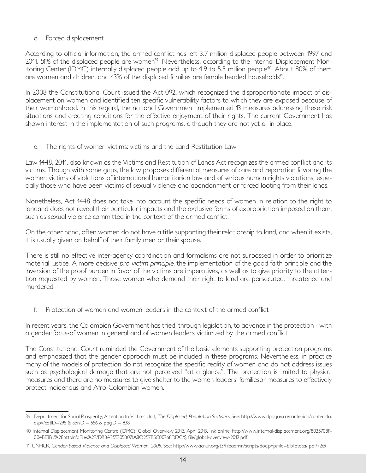## *d. Forced displacement*

*According to official information, the armed conflict has left 3.7 million displaced people between 1997 and*  2011. 51% of the displaced people are women<sup>39</sup>. Nevertheless, according to the Internal Displacement Mon*itoring Center (IDMC) internally displaced people add up to 4.9 to 5.5 million people<sup>40</sup>. About 80% of them* are women and children, and 43% of the displaced families are female headed households<sup>41</sup>.

*In 2008 the Constitutional Court issued the Act 092, which recognized the disproportionate impact of displacement on women and identified ten specific vulnerability factors to which they are exposed because of their womanhood. In this regard, the national Government implemented 13 measures addressing these risk situations and creating conditions for the effective enjoyment of their rights. The current Government has shown interest in the implementation of such programs, although they are not yet all in place.*

*e. The rights of women victims: victims and the Land Restitution Law*

*Law 1448, 2011, also known as the Victims and Restitution of Lands Act recognizes the armed conflict and its victims. Though with some gaps, the law proposes differential measures of care and reparation favoring the women victims of violations of international humanitarian law and of serious human rights violations, especially those who have been victims of sexual violence and abandonment or forced looting from their lands.* 

*Nonetheless, Act 1448 does not take into account the specific needs of women in relation to the right to*  landand does not reveal their particular impacts and the exclusive forms of expropriation imposed on them, *such as sexual violence committed in the context of the armed conflict.* 

*On the other hand, often women do not have a title supporting their relationship to land, and when it exists, it is usually given on behalf of their family men or their spouse.*

*There is still no effective inter-agency coordination and formalisms are not surpassed in order to prioritize material justice. A more decisive pro victim principle, the implementation of the good faith principle and the inversion of the proof burden in favor of the victims are imperatives, as well as to give priority to the attention requested by women. Those women who demand their right to land are persecuted, threatened and murdered.*

*f. Protection of women and women leaders in the context of the armed conflict*

*In recent years, the Colombian Government has tried, through legislation, to advance in the protection - with a gender focus-of women in general and of women leaders victimized by the armed conflict.*

*The Constitutional Court reminded the Government of the basic elements supporting protection programs and emphasized that the gender approach must be included in these programs. Nevertheless, in practice many of the models of protection do not recognize the specific reality of women and do not address issues*  such as psychological damage that are not perceived "at a glance". The protection is limited to physical *measures and there are no measures to give shelter to the women leaders' familiesor measures to effectively protect indigenous and Afro-Colombian women.*

*<sup>39</sup> Department for Social Prosperity, Attention to Victims Unit, The Displaced, Population Statistics. See: http://www.dps.gov.co/contenido/contenido. aspx?catID=295 & conID = 556 & pagID = 838*

*<sup>40</sup> Internal Displacement Monitoring Centre (IDMC), Global Overview 2012, April 2013, link online: http://www.internal-displacement.org/8025708F-004BE3B1/%28httpInfoFiles%29/DB8A259305B071A8C1257B5C00268DDC/\$ file/global-overview-2012.pdf*

*<sup>41</sup> UNHCR, Gender-based Violence and Displaced Women, 2009. See: http://www.acnur.org/t3/fileadmin/scripts/doc.php?file=biblioteca/ pdf/7269*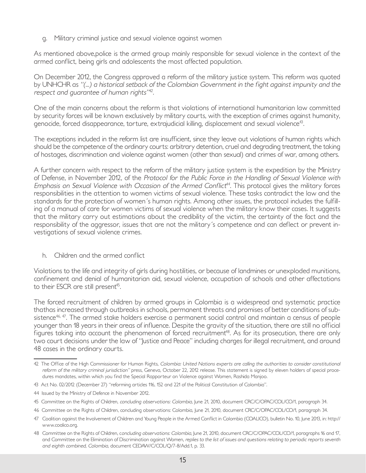*g. Military criminal justice and sexual violence against women*

*As mentioned above,police is the armed group mainly responsible for sexual violence in the context of the armed conflict, being girls and adolescents the most affected population.*

*On December 2012, the Congress approved a reform of the military justice system. This reform was quoted by UNHCHR as "(...) a historical setback of the Colombian Government in the fight against impunity and the respect and guarantee of human rights"<sup>42</sup>.*

*One of the main concerns about the reform is that violations of international humanitarian law committed by security forces will be known exclusively by military courts, with the exception of crimes against humanity, genocide, forced disappearance, torture, extrajudicial killing, displacement and sexual violence43.* 

*The exceptions included in the reform list are insufficient, since they leave out violations of human rights which*  should be the competence of the ordinary courts: arbitrary detention, cruel and degrading treatment, the taking *of hostages, discrimination and violence against women (other than sexual) and crimes of war, among others.* 

*A further concern with respect to the reform of the military justice system is the expedition by the Ministry of Defense, in November 2012, of the Protocol for the Public Force in the Handling of Sexual Violence with Emphasis on Sexual Violence with Occasion of the Armed Conflict<sup>44</sup>. This protocol gives the military forces*  responsibilities in the attention to women victims of sexual violence. These tasks contradict the law and the *standards for the protection of women´s human rights. Among other issues, the protocol includes the fulfilling of a manual of care for women victims of sexual violence when the military know their cases. It suggests that the military carry out estimations about the credibility of the victim, the certainty of the fact and the responsibility of the aggressor, issues that are not the military´s competence and can deflect or prevent investigations of sexual violence crimes.*

*h. Children and the armed conflict*

*Violations to the life and integrity of girls during hostilities, or because of landmines or unexploded munitions, confinement and denial of humanitarian aid, sexual violence, occupation of schools and other affectations to their ESCR are still present45.* 

The forced recruitment of children by armed groups in Colombia is a widespread and systematic practice *thathas increased through outbreaks in schools, permanent threats and promises of better conditions of subsistence46, 47. The armed stake holders exercise a permanent social control and maintain a census of people younger than 18 years in their areas of influence. Despite the gravity of the situation, there are still no official*  figures taking into account the phenomenon of forced recruitment<sup>48</sup>. As for its prosecution, there are only two court decisions under the law of "Justice and Peace" including charges for illegal recruitment, and around *48 cases in the ordinary courts.*

*<sup>42</sup> The Office of the High Commissioner for Human Rights, Colombia: United Nations experts are calling the authorities to consider constitutional reform of the military criminal jurisdiction" press, Geneva, October 22, 2012 release. This statement is signed by eleven holders of special procedures mandates, within which you find the Special Rapporteur on Violence against Women, Rashida Manjoo.*

*<sup>43</sup> Act No. 02/2012 (December 27) "reforming articles 116, 152 and 221 of the Political Constitution of Colombia".*

*<sup>44</sup> Issued by the Ministry of Defence in November 2012.*

*<sup>45</sup> Committee on the Rights of Children, concluding observations: Colombia, June 21, 2010, document CRC/C/OPAC/COL/CO/1, paragraph 34.*

*<sup>46</sup> Committee on the Rights of Children, concluding observations: Colombia, June 21, 2010, document CRC/C/OPAC/COL/CO/1, paragraph 34.*

*<sup>47</sup> Coalition against the Involvement of Children and Young People in the Armed Conflict in Colombia (COALICO), bulletin No. 10, June 2013, in: http:// www.coalico.org.*

*<sup>48</sup> Committee on the Rights of Children, concluding observations: Colombia, June 21, 2010, document CRC/C/OPAC/COL/CO/1, paragraphs 16 and 17,*  and Committee on the Elimination of Discrimination against Women, *replies to the list of issues and questions relating to periodic reports seventh and eighth combined, Colombia, document CEDAW/C/COL/Q/7-8/Add.1, p. 33.*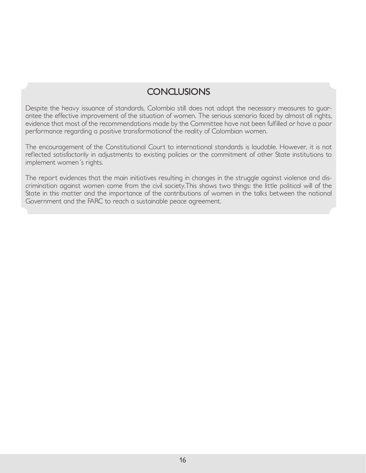# **CONCLUSIONS**

*Despite the heavy issuance of standards, Colombia still does not adopt the necessary measures to guarantee the effective improvement of the situation of women. The serious scenario faced by almost all rights, evidence that most of the recommendations made by the Committee have not been fulfilled or have a poor performance regarding a positive transformationof the reality of Colombian women.* 

The encouragement of the Constitutional Court to international standards is laudable. However, it is not reflected satisfactorily in adjustments to existing policies or the commitment of other State institutions to *implement women´s rights.*

*The report evidences that the main initiatives resulting in changes in the struggle against violence and dis*crimination against women come from the civil society. This shows two things: the little political will of the State in this matter and the importance of the contributions of women in the talks between the national *Government and the FARC to reach a sustainable peace agreement.*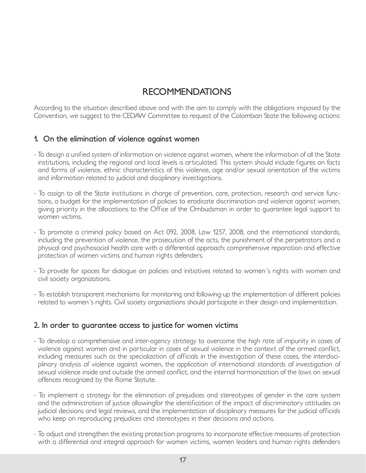# **RECOMMENDATIONS**

*According to the situation described above and with the aim to comply with the obligations imposed by the Convention, we suggest to the CEDAW Committee to request of the Colombian State the following actions:* 

## **1. On the elimination of violence against women**

- *To design a unified system of information on violence against women, where the information of all the State institutions, including the regional and local levels is articulated. This system should include figures on facts and forms of violence, ethnic characteristics of this violence, age and/or sexual orientation of the victims and information related to judicial and disciplinary investigations.*
- *To assign to all the State institutions in charge of prevention, care, protection, research and service functions, a budget for the implementation of policies to eradicate discrimination and violence against women, giving priority in the allocations to the Office of the Ombudsman in order to guarantee legal support to women victims.*
- *To promote a criminal policy based on Act 092, 2008, Law 1257, 2008, and the international standards, including the prevention of violence, the prosecution of the acts, the punishment of the perpetrators and a physical and psychosocial health care with a differential approach; comprehensive reparation and effective protection of women victims and human rights defenders.*
- *To provide for spaces for dialogue on policies and initiatives related to women´s rights with women and civil society organizations.*
- *To establish transparent mechanisms for monitoring and following-up the implementation of different policies related to women´s rights. Civil society organizations should participate in their design and implementation.*

# **2. In order to guarantee access to justice for women victims**

- *To develop a comprehensive and inter-agency strategy to overcome the high rate of impunity in cases of violence against women and in particular in cases of sexual violence in the context of the armed conflict, including measures such as the specialization of officials in the investigation of these cases, the interdisci*plinary analysis of violence against women, the application of international standards of investigation of *sexual violence inside and outside the armed conflict, and the internal harmonization of the laws on sexual offences recognized by the Rome Statute.*
- *To implement a strategy for the elimination of prejudices and stereotypes of gender in the care system*  and the administration of justice allowingfor the identification of the impact of discriminatory attitudes on *judicial decisions and legal reviews, and the implementation of disciplinary measures for the judicial officials who keep on reproducing prejudices and stereotypes in their decisions and actions.*
- *To adjust and strengthen the existing protection programs to incorporate effective measures of protection*  with a differential and integral approach for women victims, women leaders and human rights defenders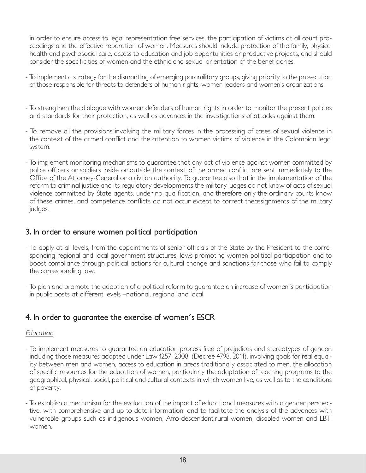*in order to ensure access to legal representation free services, the participation of victims at all court proceedings and the effective reparation of women. Measures should include protection of the family, physical*  health and psychosocial care, access to education and job opportunities or productive projects, and should *consider the specificities of women and the ethnic and sexual orientation of the beneficiaries.*

- *To implement a strategy for the dismantling of emerging paramilitary groups, giving priority to the prosecution of those responsible for threats to defenders of human rights, women leaders and women's organizations.*
- *To strengthen the dialogue with women defenders of human rights in order to monitor the present policies and standards for their protection, as well as advances in the investigations of attacks against them.*
- *To remove all the provisions involving the military forces in the processing of cases of sexual violence in the context of the armed conflict and the attention to women victims of violence in the Colombian legal system.*
- *To implement monitoring mechanisms to guarantee that any act of violence against women committed by*  police officers or soldiers inside or outside the context of the armed conflict are sent immediately to the *Office of the Attorney-General or a civilian authority. To guarantee also that in the implementation of the reform to criminal justice and its regulatory developments the military judges do not know of acts of sexual violence committed by State agents, under no qualification, and therefore only the ordinary courts know of these crimes, and competence conflicts do not occur except to correct theassignments of the military judges.*

## **3. In order to ensure women political participation**

- *To apply at all levels, from the appointments of senior officials of the State by the President to the corresponding regional and local government structures, laws promoting women political participation and to boost compliance through political actions for cultural change and sanctions for those who fail to comply the corresponding law.*
- *To plan and promote the adoption of a political reform to guarantee an increase of women´s participation in public posts at different levels –national, regional and local.*

# **4. In order to guarantee the exercise of women´s ESCR**

## *Education*

- *To implement measures to guarantee an education process free of prejudices and stereotypes of gender, including those measures adopted under Law 1257, 2008, (Decree 4798, 2011), involving goals for real equality between men and women, access to education in areas traditionally associated to men, the allocation of specific resources for the education of women, particularly the adaptation of teaching programs to the geographical, physical, social, political and cultural contexts in which women live, as well as to the conditions of poverty.*
- *To establish a mechanism for the evaluation of the impact of educational measures with a gender perspective, with comprehensive and up-to-date information, and to facilitate the analysis of the advances with vulnerable groups such as indigenous women, Afro-descendant,rural women, disabled women and LBTI women.*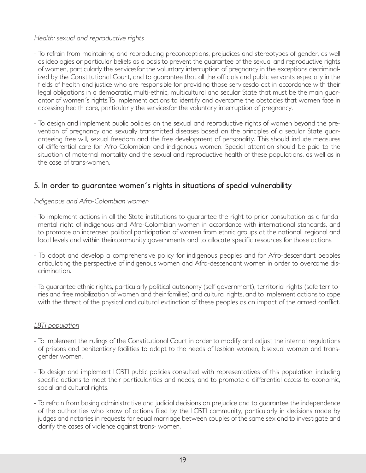## *Health: sexual and reproductive rights*

- *To refrain from maintaining and reproducing preconceptions, prejudices and stereotypes of gender, as well as ideologies or particular beliefs as a basis to prevent the guarantee of the sexual and reproductive rights of women, particularly the servicesfor the voluntary interruption of pregnancy in the exceptions decriminalized by the Constitutional Court, and to guarantee that all the officials and public servants especially in the* fields of health and justice who are responsible for providing those servicesdo act in accordance with their *legal obligations in a democratic, multi-ethnic, multicultural and secular State that must be the main guarantor of women´s rights.To implement actions to identify and overcome the obstacles that women face in accessing health care, particularly the servicesfor the voluntary interruption of pregnancy.*
- *To design and implement public policies on the sexual and reproductive rights of women beyond the prevention of pregnancy and sexually transmitted diseases based on the principles of a secular State guaranteeing free will, sexual freedom and the free development of personality. This should include measures of differential care for Afro-Colombian and indigenous women. Special attention should be paid to the situation of maternal mortality and the sexual and reproductive health of these populations, as well as in the case of trans-women.*

# **5. In order to guarantee women´s rights in situations of special vulnerability**

## *Indigenous and Afro-Colombian women*

- *To implement actions in all the State institutions to guarantee the right to prior consultation as a fundamental right of indigenous and Afro-Colombian women in accordance with international standards, and*  to promote an increased political participation of women from ethnic groups at the national, regional and *local levels and within theircommunity governments and to allocate specific resources for those actions.*
- *To adopt and develop a comprehensive policy for indigenous peoples and for Afro-descendant peoples articulating the perspective of indigenous women and Afro-descendant women in order to overcome discrimination.*
- *To guarantee ethnic rights, particularly political autonomy (self-government), territorial rights (safe territories and free mobilization of women and their families) and cultural rights, and to implement actions to cope with the threat of the physical and cultural extinction of these peoples as an impact of the armed conflict.*

## *LBTI population*

- *To implement the rulings of the Constitutional Court in order to modify and adjust the internal regulations of prisons and penitentiary facilities to adapt to the needs of lesbian women, bisexual women and transgender women.*
- *To design and implement LGBTI public policies consulted with representatives of this population, including specific actions to meet their particularities and needs, and to promote a differential access to economic, social and cultural rights.*
- *To refrain from basing administrative and judicial decisions on prejudice and to guarantee the independence of the authorities who know of actions filed by the LGBTI community, particularly in decisions made by judges and notaries in requests for equal marriage between couples of the same sex and to investigate and clarify the cases of violence against trans- women.*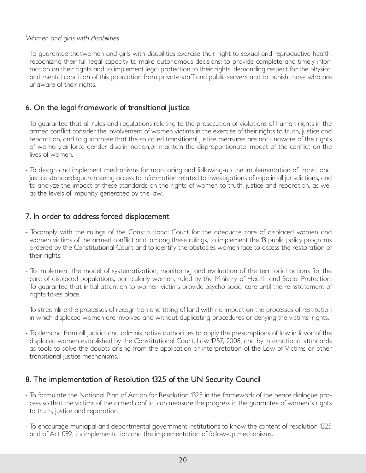## *Women and girls with disabilities*

*- To guarantee thatwomen and girls with disabilities exercise their right to sexual and reproductive health, recognizing their full legal capacity to make autonomous decisions; to provide complete and timely information on their rights and to implement legal protection to their rights, demanding respect for the physical and mental condition of this population from private staff and public servers and to punish those who are unaware of their rights.*

# **6. On the legal framework of transitional justice**

- To guarantee that all rules and regulations relating to the prosecution of violations of human rights in the *armed conflict consider the involvement of women victims in the exercise of their rights to truth, justice and reparation, and to guarantee that the so called transitional justice measures are not unaware of the rights of women,reinforce gender discrimination,or maintain the disproportionate impact of the conflict on the lives of women.*
- *To design and implement mechanisms for monitoring and following-up the implementation of transitional justice standardsguaranteeing access to information related to investigations of rape in all jurisdictions, and* to analyze the impact of these standards on the rights of women to truth, justice and reparation, as well *as the levels of impunity generated by this law.*

# **7. In order to address forced displacement**

- *Tocomply with the rulings of the Constitutional Court for the adequate care of displaced women and women victims of the armed conflict and, among these rulings, to implement the 13 public policy programs ordered by the Constitutional Court and to identify the obstacles women face to access the restoration of their rights.*
- *To implement the model of systematization, monitoring and evaluation of the territorial actions for the care of displaced populations, particularly women, ruled by the Ministry of Health and Social Protection. To guarantee that initial attention to women victims provide psycho-social care until the reinstatement of rights takes place.*
- *To streamline the processes of recognition and titling of land with no impact on the processes of restitution in which displaced women are involved and without duplicating procedures or denying the victims' rights.*
- To demand from all judicial and administrative authorities to apply the presumptions of law in favor of the *displaced women established by the Constitutional Court, Law 1257, 2008, and by international standards as tools to solve the doubts arising from the application or interpretation of the Law of Victims or other transitional justice mechanisms.*

# **8. The implementation of Resolution 1325 of the UN Security Council**

- *To formulate the National Plan of Action for Resolution 1325 in the framework of the peace dialogue process so that the victims of the armed conflict can measure the progress in the guarantee of women´s rights to truth, justice and reparation.*
- *To encourage municipal and departmental government institutions to know the content of resolution 1325 and of Act 092, its implementation and the implementation of follow-up mechanisms.*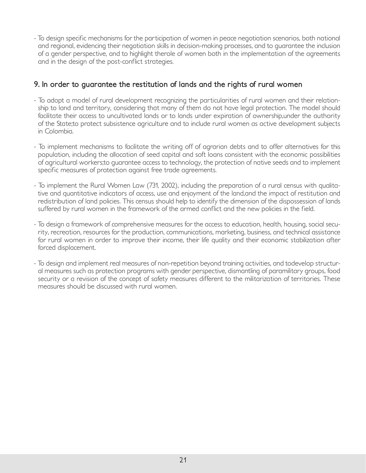*- To design specific mechanisms for the participation of women in peace negotiation scenarios, both national*  and regional, evidencing their negotiation skills in decision-making processes, and to guarantee the inclusion *of a gender perspective, and to highlight therole of women both in the implementation of the agreements and in the design of the post-conflict strategies.*

# **9. In order to guarantee the restitution of lands and the rights of rural women**

- *To adopt a model of rural development recognizing the particularities of rural women and their relation*ship to land and territory, considering that many of them do not have legal protection. The model should facilitate their access to uncultivated lands or to lands under expiration of ownership, under the authority *of the State;to protect subsistence agriculture and to include rural women as active development subjects in Colombia.*
- *To implement mechanisms to facilitate the writing off of agrarian debts and to offer alternatives for this population, including the allocation of seed capital and soft loans consistent with the economic possibilities of agricultural workers;to guarantee access to technology, the protection of native seeds and to implement specific measures of protection against free trade agreements.*
- *To implement the Rural Women Law (731, 2002), including the preparation of a rural census with qualitative and quantitative indicators of access, use and enjoyment of the land,and the impact of restitution and redistribution of land policies. This census should help to identify the dimension of the dispossession of lands suffered by rural women in the framework of the armed conflict and the new policies in the field.*
- *To design a framework of comprehensive measures for the access to education, health, housing, social security, recreation, resources for the production, communications, marketing, business, and technical assistance*  for rural women in order to improve their income, their life quality and their economic stabilization after *forced displacement.*
- *To design and implement real measures of non-repetition beyond training activities, and todevelop structural measures such as protection programs with gender perspective, dismantling of paramilitary groups, food security or a revision of the concept of safety measures different to the militarization of territories. These measures should be discussed with rural women.*